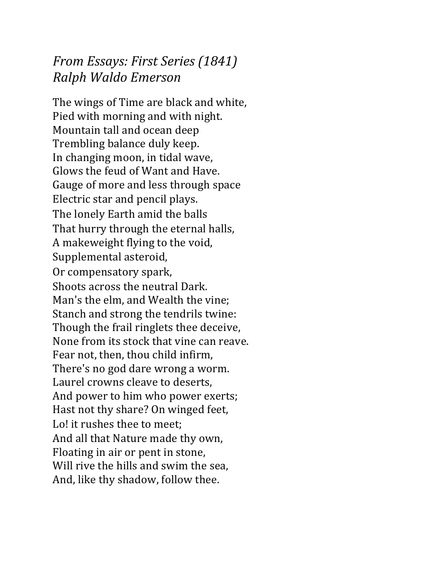## *From Essays: First Series (1841) Ralph Waldo Emerson*

The wings of Time are black and white, Pied with morning and with night. Mountain tall and ocean deep Trembling balance duly keep. In changing moon, in tidal wave, Glows the feud of Want and Have. Gauge of more and less through space Electric star and pencil plays. The lonely Earth amid the balls That hurry through the eternal halls, A makeweight flying to the void, Supplemental asteroid, Or compensatory spark, Shoots across the neutral Dark. Man's the elm, and Wealth the vine; Stanch and strong the tendrils twine: Though the frail ringlets thee deceive, None from its stock that vine can reave. Fear not, then, thou child infirm, There's no god dare wrong a worm. Laurel crowns cleave to deserts. And power to him who power exerts; Hast not thy share? On winged feet, Lo! it rushes thee to meet; And all that Nature made thy own, Floating in air or pent in stone, Will rive the hills and swim the sea. And, like thy shadow, follow thee.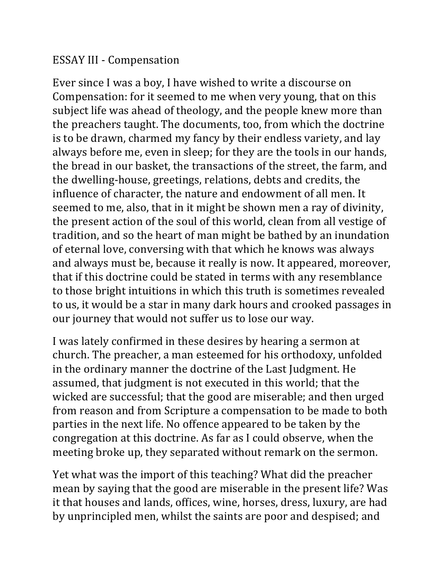## ESSAY III - Compensation

Ever since I was a boy, I have wished to write a discourse on Compensation: for it seemed to me when very young, that on this subject life was ahead of theology, and the people knew more than the preachers taught. The documents, too, from which the doctrine is to be drawn, charmed my fancy by their endless variety, and lay always before me, even in sleep; for they are the tools in our hands, the bread in our basket, the transactions of the street, the farm, and the dwelling-house, greetings, relations, debts and credits, the influence of character, the nature and endowment of all men. It seemed to me, also, that in it might be shown men a ray of divinity, the present action of the soul of this world, clean from all vestige of tradition, and so the heart of man might be bathed by an inundation of eternal love, conversing with that which he knows was always and always must be, because it really is now. It appeared, moreover, that if this doctrine could be stated in terms with any resemblance to those bright intuitions in which this truth is sometimes revealed to us, it would be a star in many dark hours and crooked passages in our journey that would not suffer us to lose our way.

I was lately confirmed in these desires by hearing a sermon at church. The preacher, a man esteemed for his orthodoxy, unfolded in the ordinary manner the doctrine of the Last Judgment. He assumed, that judgment is not executed in this world; that the wicked are successful; that the good are miserable; and then urged from reason and from Scripture a compensation to be made to both parties in the next life. No offence appeared to be taken by the congregation at this doctrine. As far as I could observe, when the meeting broke up, they separated without remark on the sermon.

Yet what was the import of this teaching? What did the preacher mean by saying that the good are miserable in the present life? Was it that houses and lands, offices, wine, horses, dress, luxury, are had by unprincipled men, whilst the saints are poor and despised; and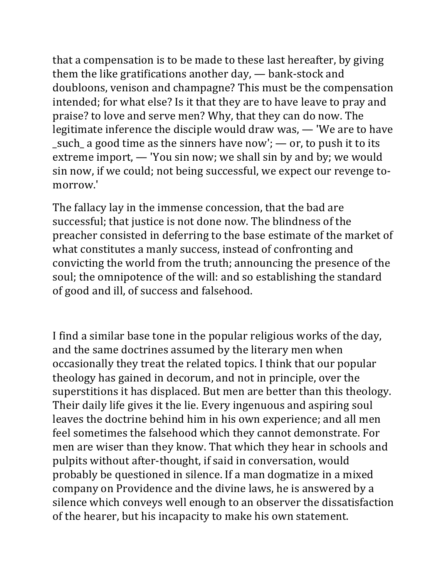that a compensation is to be made to these last hereafter, by giving them the like gratifications another  $day$ ,  $-$  bank-stock and doubloons, venison and champagne? This must be the compensation intended; for what else? Is it that they are to have leave to pray and praise? to love and serve men? Why, that they can do now. The legitimate inference the disciple would draw was, - 'We are to have \_such\_ a good time as the sinners have now';  $\rightarrow$  or, to push it to its extreme import,  $-$  'You sin now; we shall sin by and by; we would sin now, if we could; not being successful, we expect our revenge tomorrow.' 

The fallacy lay in the immense concession, that the bad are successful; that justice is not done now. The blindness of the preacher consisted in deferring to the base estimate of the market of what constitutes a manly success, instead of confronting and convicting the world from the truth; announcing the presence of the soul; the omnipotence of the will: and so establishing the standard of good and ill, of success and falsehood.

I find a similar base tone in the popular religious works of the day, and the same doctrines assumed by the literary men when occasionally they treat the related topics. I think that our popular theology has gained in decorum, and not in principle, over the superstitions it has displaced. But men are better than this theology. Their daily life gives it the lie. Every ingenuous and aspiring soul leaves the doctrine behind him in his own experience; and all men feel sometimes the falsehood which they cannot demonstrate. For men are wiser than they know. That which they hear in schools and pulpits without after-thought, if said in conversation, would probably be questioned in silence. If a man dogmatize in a mixed company on Providence and the divine laws, he is answered by a silence which conveys well enough to an observer the dissatisfaction of the hearer, but his incapacity to make his own statement.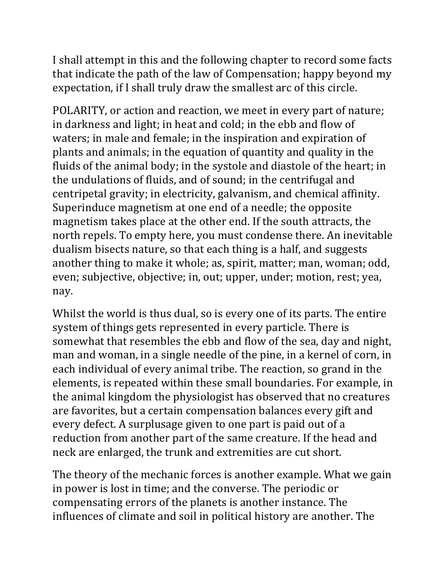I shall attempt in this and the following chapter to record some facts that indicate the path of the law of Compensation; happy beyond my expectation, if I shall truly draw the smallest arc of this circle.

POLARITY, or action and reaction, we meet in every part of nature; in darkness and light; in heat and cold; in the ebb and flow of waters; in male and female; in the inspiration and expiration of plants and animals; in the equation of quantity and quality in the fluids of the animal body; in the systole and diastole of the heart; in the undulations of fluids, and of sound; in the centrifugal and centripetal gravity; in electricity, galvanism, and chemical affinity. Superinduce magnetism at one end of a needle; the opposite magnetism takes place at the other end. If the south attracts, the north repels. To empty here, you must condense there. An inevitable dualism bisects nature, so that each thing is a half, and suggests another thing to make it whole; as, spirit, matter; man, woman; odd, even; subjective, objective; in, out; upper, under; motion, rest; yea, nay. 

Whilst the world is thus dual, so is every one of its parts. The entire system of things gets represented in every particle. There is somewhat that resembles the ebb and flow of the sea, day and night, man and woman, in a single needle of the pine, in a kernel of corn, in each individual of every animal tribe. The reaction, so grand in the elements, is repeated within these small boundaries. For example, in the animal kingdom the physiologist has observed that no creatures are favorites, but a certain compensation balances every gift and every defect. A surplusage given to one part is paid out of a reduction from another part of the same creature. If the head and neck are enlarged, the trunk and extremities are cut short.

The theory of the mechanic forces is another example. What we gain in power is lost in time; and the converse. The periodic or compensating errors of the planets is another instance. The influences of climate and soil in political history are another. The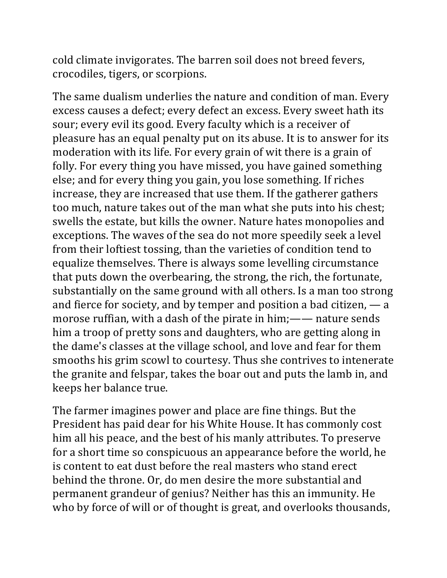cold climate invigorates. The barren soil does not breed fevers, crocodiles, tigers, or scorpions. 

The same dualism underlies the nature and condition of man. Every excess causes a defect; every defect an excess. Every sweet hath its sour; every evil its good. Every faculty which is a receiver of pleasure has an equal penalty put on its abuse. It is to answer for its moderation with its life. For every grain of wit there is a grain of folly. For every thing you have missed, you have gained something else; and for every thing you gain, you lose something. If riches increase, they are increased that use them. If the gatherer gathers too much, nature takes out of the man what she puts into his chest; swells the estate, but kills the owner. Nature hates monopolies and exceptions. The waves of the sea do not more speedily seek a level from their loftiest tossing, than the varieties of condition tend to equalize themselves. There is always some levelling circumstance that puts down the overbearing, the strong, the rich, the fortunate, substantially on the same ground with all others. Is a man too strong and fierce for society, and by temper and position a bad citizen,  $\frac{1}{1}$  a morose ruffian, with a dash of the pirate in him;—— nature sends him a troop of pretty sons and daughters, who are getting along in the dame's classes at the village school, and love and fear for them smooths his grim scowl to courtesy. Thus she contrives to intenerate the granite and felspar, takes the boar out and puts the lamb in, and keeps her balance true.

The farmer imagines power and place are fine things. But the President has paid dear for his White House. It has commonly cost him all his peace, and the best of his manly attributes. To preserve for a short time so conspicuous an appearance before the world, he is content to eat dust before the real masters who stand erect behind the throne. Or, do men desire the more substantial and permanent grandeur of genius? Neither has this an immunity. He who by force of will or of thought is great, and overlooks thousands,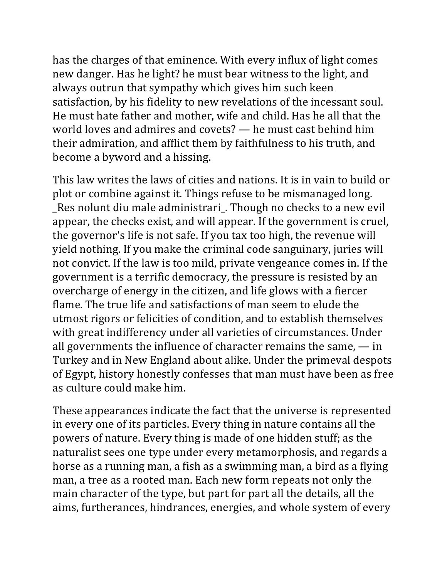has the charges of that eminence. With every influx of light comes new danger. Has he light? he must bear witness to the light, and always outrun that sympathy which gives him such keen satisfaction, by his fidelity to new revelations of the incessant soul. He must hate father and mother, wife and child. Has he all that the world loves and admires and covets?  $-$  he must cast behind him their admiration, and afflict them by faithfulness to his truth, and become a byword and a hissing.

This law writes the laws of cities and nations. It is in vain to build or plot or combine against it. Things refuse to be mismanaged long. \_Res nolunt diu male administrari\_. Though no checks to a new evil appear, the checks exist, and will appear. If the government is cruel, the governor's life is not safe. If you tax too high, the revenue will yield nothing. If you make the criminal code sanguinary, juries will not convict. If the law is too mild, private vengeance comes in. If the government is a terrific democracy, the pressure is resisted by an overcharge of energy in the citizen, and life glows with a fiercer flame. The true life and satisfactions of man seem to elude the utmost rigors or felicities of condition, and to establish themselves with great indifferency under all varieties of circumstances. Under all governments the influence of character remains the same,  $-\text{in}$ Turkey and in New England about alike. Under the primeval despots of Egypt, history honestly confesses that man must have been as free as culture could make him.

These appearances indicate the fact that the universe is represented in every one of its particles. Every thing in nature contains all the powers of nature. Every thing is made of one hidden stuff; as the naturalist sees one type under every metamorphosis, and regards a horse as a running man, a fish as a swimming man, a bird as a flying man, a tree as a rooted man. Each new form repeats not only the main character of the type, but part for part all the details, all the aims, furtherances, hindrances, energies, and whole system of every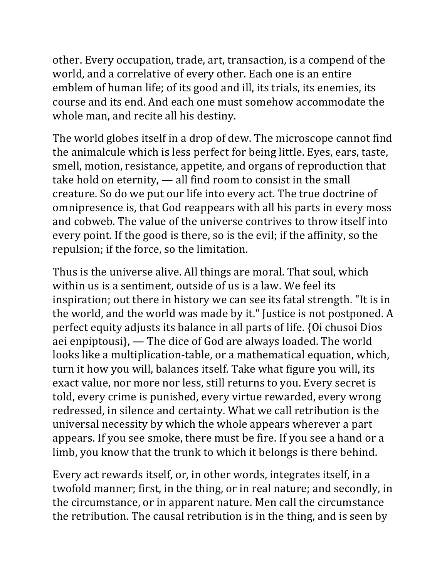other. Every occupation, trade, art, transaction, is a compend of the world, and a correlative of every other. Each one is an entire emblem of human life; of its good and ill, its trials, its enemies, its course and its end. And each one must somehow accommodate the whole man, and recite all his destiny.

The world globes itself in a drop of dew. The microscope cannot find the animalcule which is less perfect for being little. Eyes, ears, taste, smell, motion, resistance, appetite, and organs of reproduction that take hold on eternity,  $-$  all find room to consist in the small creature. So do we put our life into every act. The true doctrine of omnipresence is, that God reappears with all his parts in every moss and cobweb. The value of the universe contrives to throw itself into every point. If the good is there, so is the evil; if the affinity, so the repulsion; if the force, so the limitation.

Thus is the universe alive. All things are moral. That soul, which within us is a sentiment, outside of us is a law. We feel its inspiration; out there in history we can see its fatal strength. "It is in the world, and the world was made by it." Justice is not postponed. A perfect equity adjusts its balance in all parts of life. {Oi chusoi Dios aei enpiptousi},  $\longrightarrow$  The dice of God are always loaded. The world looks like a multiplication-table, or a mathematical equation, which, turn it how you will, balances itself. Take what figure you will, its exact value, nor more nor less, still returns to you. Every secret is told, every crime is punished, every virtue rewarded, every wrong redressed, in silence and certainty. What we call retribution is the universal necessity by which the whole appears wherever a part appears. If you see smoke, there must be fire. If you see a hand or a limb, you know that the trunk to which it belongs is there behind.

Every act rewards itself, or, in other words, integrates itself, in a twofold manner; first, in the thing, or in real nature; and secondly, in the circumstance, or in apparent nature. Men call the circumstance the retribution. The causal retribution is in the thing, and is seen by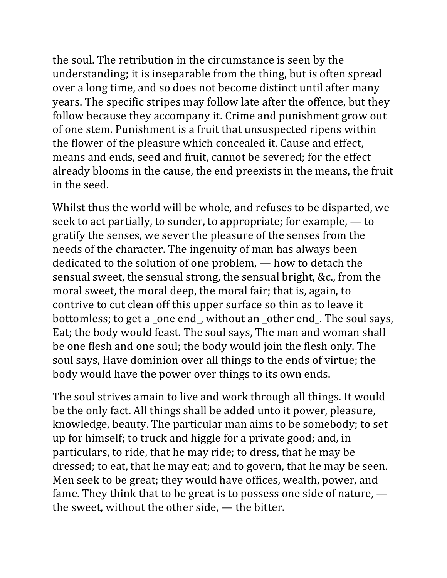the soul. The retribution in the circumstance is seen by the understanding; it is inseparable from the thing, but is often spread over a long time, and so does not become distinct until after many years. The specific stripes may follow late after the offence, but they follow because they accompany it. Crime and punishment grow out of one stem. Punishment is a fruit that unsuspected ripens within the flower of the pleasure which concealed it. Cause and effect, means and ends, seed and fruit, cannot be severed; for the effect already blooms in the cause, the end preexists in the means, the fruit in the seed.

Whilst thus the world will be whole, and refuses to be disparted, we seek to act partially, to sunder, to appropriate; for example,  $-$  to gratify the senses, we sever the pleasure of the senses from the needs of the character. The ingenuity of man has always been dedicated to the solution of one problem,  $-$  how to detach the sensual sweet, the sensual strong, the sensual bright, &c., from the moral sweet, the moral deep, the moral fair; that is, again, to contrive to cut clean off this upper surface so thin as to leave it bottomless; to get a \_one end\_, without an \_other end\_. The soul says, Eat; the body would feast. The soul says, The man and woman shall be one flesh and one soul; the body would join the flesh only. The soul says, Have dominion over all things to the ends of virtue; the body would have the power over things to its own ends.

The soul strives amain to live and work through all things. It would be the only fact. All things shall be added unto it power, pleasure, knowledge, beauty. The particular man aims to be somebody; to set up for himself; to truck and higgle for a private good; and, in particulars, to ride, that he may ride; to dress, that he may be dressed; to eat, that he may eat; and to govern, that he may be seen. Men seek to be great; they would have offices, wealth, power, and fame. They think that to be great is to possess one side of nature,  $\overline{\phantom{a}}$ the sweet, without the other side,  $-$  the bitter.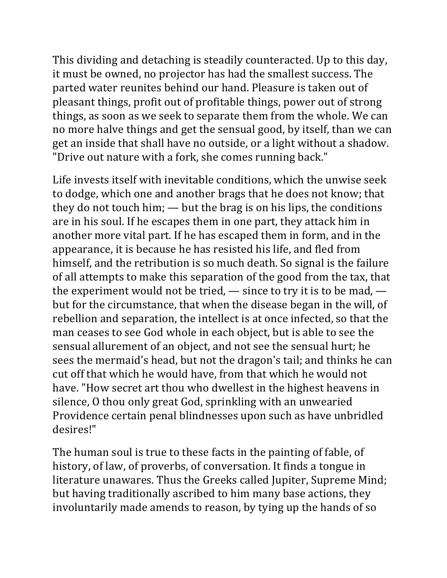This dividing and detaching is steadily counteracted. Up to this day, it must be owned, no projector has had the smallest success. The parted water reunites behind our hand. Pleasure is taken out of pleasant things, profit out of profitable things, power out of strong things, as soon as we seek to separate them from the whole. We can no more halve things and get the sensual good, by itself, than we can get an inside that shall have no outside, or a light without a shadow. "Drive out nature with a fork, she comes running back."

Life invests itself with inevitable conditions, which the unwise seek to dodge, which one and another brags that he does not know; that they do not touch him;  $-$  but the brag is on his lips, the conditions are in his soul. If he escapes them in one part, they attack him in another more vital part. If he has escaped them in form, and in the appearance, it is because he has resisted his life, and fled from himself, and the retribution is so much death. So signal is the failure of all attempts to make this separation of the good from the tax, that the experiment would not be tried,  $-$  since to try it is to be mad,  $$ but for the circumstance, that when the disease began in the will, of rebellion and separation, the intellect is at once infected, so that the man ceases to see God whole in each object, but is able to see the sensual allurement of an object, and not see the sensual hurt; he sees the mermaid's head, but not the dragon's tail; and thinks he can cut off that which he would have, from that which he would not have. "How secret art thou who dwellest in the highest heavens in silence, O thou only great God, sprinkling with an unwearied Providence certain penal blindnesses upon such as have unbridled desires!" 

The human soul is true to these facts in the painting of fable, of history, of law, of proverbs, of conversation. It finds a tongue in literature unawares. Thus the Greeks called Jupiter, Supreme Mind; but having traditionally ascribed to him many base actions, they involuntarily made amends to reason, by tying up the hands of so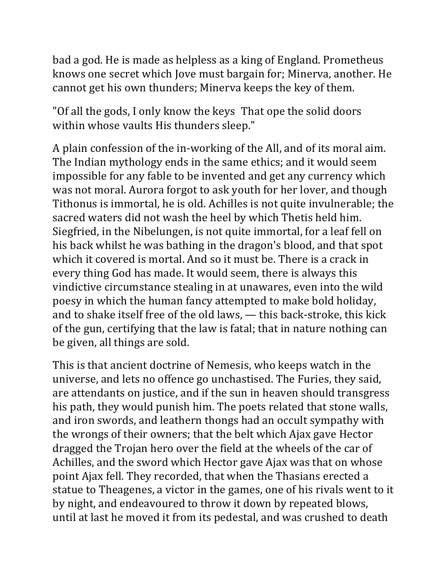bad a god. He is made as helpless as a king of England. Prometheus knows one secret which Jove must bargain for; Minerva, another. He cannot get his own thunders; Minerva keeps the key of them.

"Of all the gods, I only know the keys That ope the solid doors within whose vaults His thunders sleep."

A plain confession of the in-working of the All, and of its moral aim. The Indian mythology ends in the same ethics; and it would seem impossible for any fable to be invented and get any currency which was not moral. Aurora forgot to ask youth for her lover, and though Tithonus is immortal, he is old. Achilles is not quite invulnerable; the sacred waters did not wash the heel by which Thetis held him. Siegfried, in the Nibelungen, is not quite immortal, for a leaf fell on his back whilst he was bathing in the dragon's blood, and that spot which it covered is mortal. And so it must be. There is a crack in every thing God has made. It would seem, there is always this vindictive circumstance stealing in at unawares, even into the wild poesy in which the human fancy attempted to make bold holiday, and to shake itself free of the old laws,  $-$  this back-stroke, this kick of the gun, certifying that the law is fatal; that in nature nothing can be given, all things are sold.

This is that ancient doctrine of Nemesis, who keeps watch in the universe, and lets no offence go unchastised. The Furies, they said, are attendants on justice, and if the sun in heaven should transgress his path, they would punish him. The poets related that stone walls, and iron swords, and leathern thongs had an occult sympathy with the wrongs of their owners; that the belt which Ajax gave Hector dragged the Trojan hero over the field at the wheels of the car of Achilles, and the sword which Hector gave Ajax was that on whose point Ajax fell. They recorded, that when the Thasians erected a statue to Theagenes, a victor in the games, one of his rivals went to it by night, and endeavoured to throw it down by repeated blows, until at last he moved it from its pedestal, and was crushed to death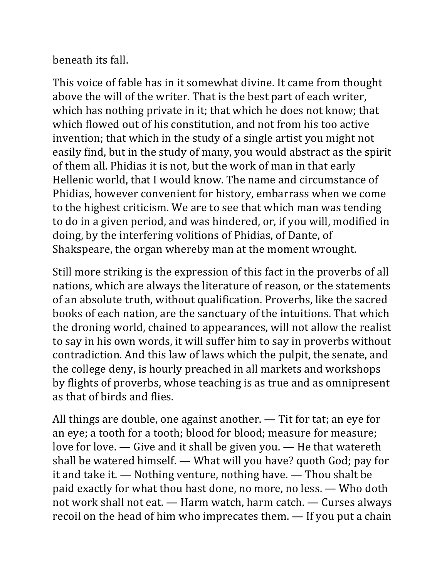beneath its fall.

This voice of fable has in it somewhat divine. It came from thought above the will of the writer. That is the best part of each writer, which has nothing private in it; that which he does not know; that which flowed out of his constitution, and not from his too active invention; that which in the study of a single artist you might not easily find, but in the study of many, you would abstract as the spirit of them all. Phidias it is not, but the work of man in that early Hellenic world, that I would know. The name and circumstance of Phidias, however convenient for history, embarrass when we come to the highest criticism. We are to see that which man was tending to do in a given period, and was hindered, or, if you will, modified in doing, by the interfering volitions of Phidias, of Dante, of Shakspeare, the organ whereby man at the moment wrought.

Still more striking is the expression of this fact in the proverbs of all nations, which are always the literature of reason, or the statements of an absolute truth, without qualification. Proverbs, like the sacred books of each nation, are the sanctuary of the intuitions. That which the droning world, chained to appearances, will not allow the realist to say in his own words, it will suffer him to say in proverbs without contradiction. And this law of laws which the pulpit, the senate, and the college deny, is hourly preached in all markets and workshops by flights of proverbs, whose teaching is as true and as omnipresent as that of birds and flies.

All things are double, one against another.  $-$  Tit for tat; an eye for an eye; a tooth for a tooth; blood for blood; measure for measure; love for love.  $-$  Give and it shall be given you.  $-$  He that watereth shall be watered himself.  $-$  What will you have? quoth God; pay for it and take it.  $-$  Nothing venture, nothing have.  $-$  Thou shalt be paid exactly for what thou hast done, no more, no less. — Who doth not work shall not eat.  $-$  Harm watch, harm catch.  $-$  Curses always recoil on the head of him who imprecates them.  $-$  If you put a chain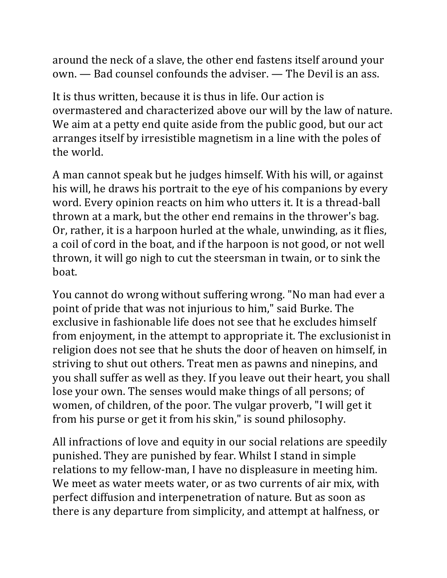around the neck of a slave, the other end fastens itself around your  $own.$   $\rightarrow$  Bad counsel confounds the adviser.  $\rightarrow$  The Devil is an ass.

It is thus written, because it is thus in life. Our action is overmastered and characterized above our will by the law of nature. We aim at a petty end quite aside from the public good, but our act arranges itself by irresistible magnetism in a line with the poles of the world.

A man cannot speak but he judges himself. With his will, or against his will, he draws his portrait to the eye of his companions by every word. Every opinion reacts on him who utters it. It is a thread-ball thrown at a mark, but the other end remains in the thrower's bag. Or, rather, it is a harpoon hurled at the whale, unwinding, as it flies, a coil of cord in the boat, and if the harpoon is not good, or not well thrown, it will go nigh to cut the steersman in twain, or to sink the boat. 

You cannot do wrong without suffering wrong. "No man had ever a point of pride that was not injurious to him," said Burke. The exclusive in fashionable life does not see that he excludes himself from enjoyment, in the attempt to appropriate it. The exclusionist in religion does not see that he shuts the door of heaven on himself, in striving to shut out others. Treat men as pawns and ninepins, and you shall suffer as well as they. If you leave out their heart, you shall lose your own. The senses would make things of all persons; of women, of children, of the poor. The vulgar proverb, "I will get it from his purse or get it from his skin," is sound philosophy.

All infractions of love and equity in our social relations are speedily punished. They are punished by fear. Whilst I stand in simple relations to my fellow-man, I have no displeasure in meeting him. We meet as water meets water, or as two currents of air mix, with perfect diffusion and interpenetration of nature. But as soon as there is any departure from simplicity, and attempt at halfness, or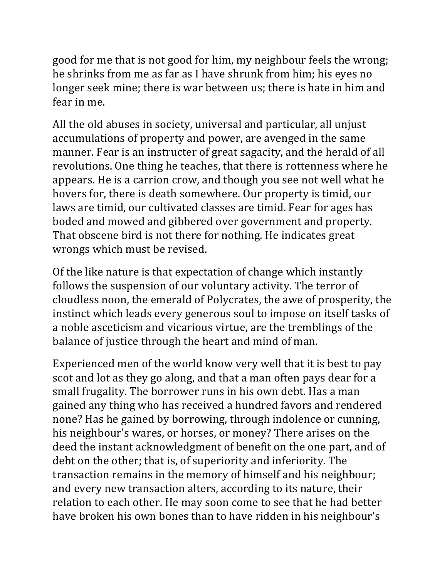good for me that is not good for him, my neighbour feels the wrong; he shrinks from me as far as I have shrunk from him; his eyes no longer seek mine; there is war between us; there is hate in him and fear in me.

All the old abuses in society, universal and particular, all unjust accumulations of property and power, are avenged in the same manner. Fear is an instructer of great sagacity, and the herald of all revolutions. One thing he teaches, that there is rottenness where he appears. He is a carrion crow, and though you see not well what he hovers for, there is death somewhere. Our property is timid, our laws are timid, our cultivated classes are timid. Fear for ages has boded and mowed and gibbered over government and property. That obscene bird is not there for nothing. He indicates great wrongs which must be revised.

Of the like nature is that expectation of change which instantly follows the suspension of our voluntary activity. The terror of cloudless noon, the emerald of Polycrates, the awe of prosperity, the instinct which leads every generous soul to impose on itself tasks of a noble asceticism and vicarious virtue, are the tremblings of the balance of justice through the heart and mind of man.

Experienced men of the world know very well that it is best to pay scot and lot as they go along, and that a man often pays dear for a small frugality. The borrower runs in his own debt. Has a man gained any thing who has received a hundred favors and rendered none? Has he gained by borrowing, through indolence or cunning, his neighbour's wares, or horses, or money? There arises on the deed the instant acknowledgment of benefit on the one part, and of debt on the other; that is, of superiority and inferiority. The transaction remains in the memory of himself and his neighbour; and every new transaction alters, according to its nature, their relation to each other. He may soon come to see that he had better have broken his own bones than to have ridden in his neighbour's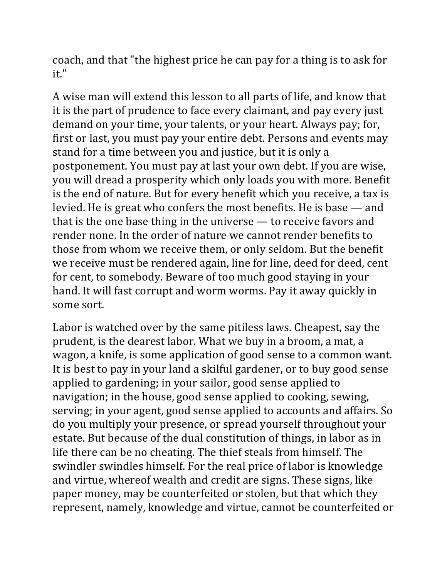coach, and that "the highest price he can pay for a thing is to ask for it." 

A wise man will extend this lesson to all parts of life, and know that it is the part of prudence to face every claimant, and pay every just demand on your time, your talents, or your heart. Always pay; for, first or last, you must pay your entire debt. Persons and events may stand for a time between you and justice, but it is only a postponement. You must pay at last your own debt. If you are wise, you will dread a prosperity which only loads you with more. Benefit is the end of nature. But for every benefit which you receive, a tax is levied. He is great who confers the most benefits. He is base  $-$  and that is the one base thing in the universe  $-$  to receive favors and render none. In the order of nature we cannot render benefits to those from whom we receive them, or only seldom. But the benefit we receive must be rendered again, line for line, deed for deed, cent for cent, to somebody. Beware of too much good staying in your hand. It will fast corrupt and worm worms. Pay it away quickly in some sort.

Labor is watched over by the same pitiless laws. Cheapest, say the prudent, is the dearest labor. What we buy in a broom, a mat, a wagon, a knife, is some application of good sense to a common want. It is best to pay in your land a skilful gardener, or to buy good sense applied to gardening; in your sailor, good sense applied to navigation; in the house, good sense applied to cooking, sewing, serving; in your agent, good sense applied to accounts and affairs. So do you multiply your presence, or spread yourself throughout your estate. But because of the dual constitution of things, in labor as in life there can be no cheating. The thief steals from himself. The swindler swindles himself. For the real price of labor is knowledge and virtue, whereof wealth and credit are signs. These signs, like paper money, may be counterfeited or stolen, but that which they represent, namely, knowledge and virtue, cannot be counterfeited or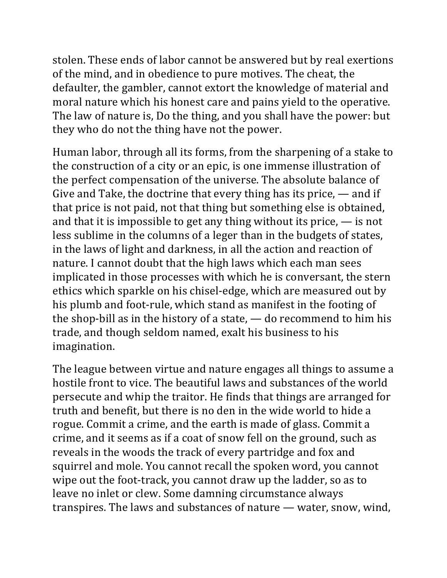stolen. These ends of labor cannot be answered but by real exertions of the mind, and in obedience to pure motives. The cheat, the defaulter, the gambler, cannot extort the knowledge of material and moral nature which his honest care and pains yield to the operative. The law of nature is, Do the thing, and you shall have the power: but they who do not the thing have not the power.

Human labor, through all its forms, from the sharpening of a stake to the construction of a city or an epic, is one immense illustration of the perfect compensation of the universe. The absolute balance of Give and Take, the doctrine that every thing has its price,  $\frac{1}{\pi}$  and if that price is not paid, not that thing but something else is obtained, and that it is impossible to get any thing without its price,  $\frac{1}{\sqrt{1-\frac{1}{n}}}$  is not less sublime in the columns of a leger than in the budgets of states, in the laws of light and darkness, in all the action and reaction of nature. I cannot doubt that the high laws which each man sees implicated in those processes with which he is conversant, the stern ethics which sparkle on his chisel-edge, which are measured out by his plumb and foot-rule, which stand as manifest in the footing of the shop-bill as in the history of a state,  $\frac{1}{10}$  do recommend to him his trade, and though seldom named, exalt his business to his imagination. 

The league between virtue and nature engages all things to assume a hostile front to vice. The beautiful laws and substances of the world persecute and whip the traitor. He finds that things are arranged for truth and benefit, but there is no den in the wide world to hide a rogue. Commit a crime, and the earth is made of glass. Commit a crime, and it seems as if a coat of snow fell on the ground, such as reveals in the woods the track of every partridge and fox and squirrel and mole. You cannot recall the spoken word, you cannot wipe out the foot-track, you cannot draw up the ladder, so as to leave no inlet or clew. Some damning circumstance always transpires. The laws and substances of nature  $-$  water, snow, wind,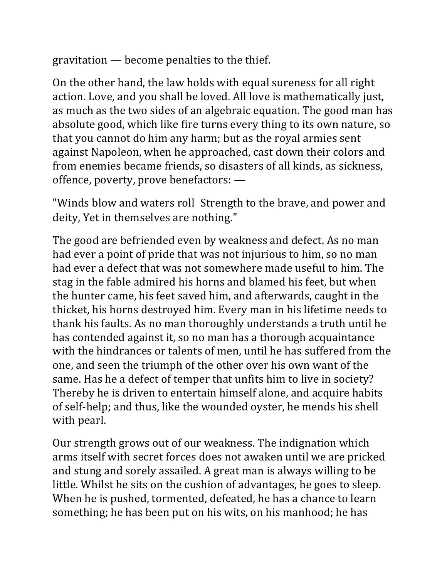gravitation  $-$  become penalties to the thief.

On the other hand, the law holds with equal sureness for all right action. Love, and you shall be loved. All love is mathematically just, as much as the two sides of an algebraic equation. The good man has absolute good, which like fire turns every thing to its own nature, so that you cannot do him any harm; but as the royal armies sent against Napoleon, when he approached, cast down their colors and from enemies became friends, so disasters of all kinds, as sickness, offence, poverty, prove benefactors:  $-$ 

"Winds blow and waters roll Strength to the brave, and power and deity, Yet in themselves are nothing."

The good are befriended even by weakness and defect. As no man had ever a point of pride that was not injurious to him, so no man had ever a defect that was not somewhere made useful to him. The stag in the fable admired his horns and blamed his feet, but when the hunter came, his feet saved him, and afterwards, caught in the thicket, his horns destroyed him. Every man in his lifetime needs to thank his faults. As no man thoroughly understands a truth until he has contended against it, so no man has a thorough acquaintance with the hindrances or talents of men, until he has suffered from the one, and seen the triumph of the other over his own want of the same. Has he a defect of temper that unfits him to live in society? Thereby he is driven to entertain himself alone, and acquire habits of self-help; and thus, like the wounded oyster, he mends his shell with pearl.

Our strength grows out of our weakness. The indignation which arms itself with secret forces does not awaken until we are pricked and stung and sorely assailed. A great man is always willing to be little. Whilst he sits on the cushion of advantages, he goes to sleep. When he is pushed, tormented, defeated, he has a chance to learn something; he has been put on his wits, on his manhood; he has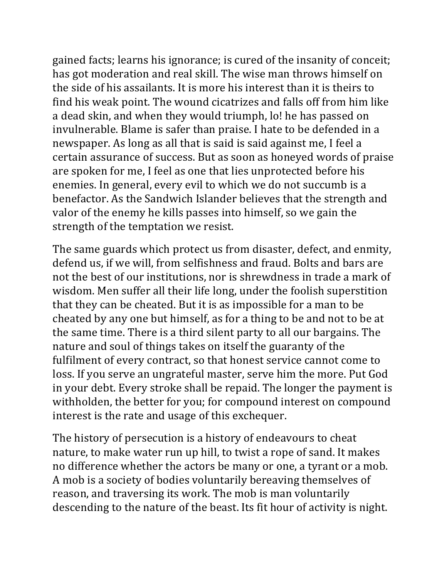gained facts; learns his ignorance; is cured of the insanity of conceit; has got moderation and real skill. The wise man throws himself on the side of his assailants. It is more his interest than it is theirs to find his weak point. The wound cicatrizes and falls off from him like a dead skin, and when they would triumph, lo! he has passed on invulnerable. Blame is safer than praise. I hate to be defended in a newspaper. As long as all that is said is said against me, I feel a certain assurance of success. But as soon as honeyed words of praise are spoken for me, I feel as one that lies unprotected before his enemies. In general, every evil to which we do not succumb is a benefactor. As the Sandwich Islander believes that the strength and valor of the enemy he kills passes into himself, so we gain the strength of the temptation we resist.

The same guards which protect us from disaster, defect, and enmity, defend us, if we will, from selfishness and fraud. Bolts and bars are not the best of our institutions, nor is shrewdness in trade a mark of wisdom. Men suffer all their life long, under the foolish superstition that they can be cheated. But it is as impossible for a man to be cheated by any one but himself, as for a thing to be and not to be at the same time. There is a third silent party to all our bargains. The nature and soul of things takes on itself the guaranty of the fulfilment of every contract, so that honest service cannot come to loss. If you serve an ungrateful master, serve him the more. Put God in your debt. Every stroke shall be repaid. The longer the payment is withholden, the better for you; for compound interest on compound interest is the rate and usage of this exchequer.

The history of persecution is a history of endeavours to cheat nature, to make water run up hill, to twist a rope of sand. It makes no difference whether the actors be many or one, a tyrant or a mob. A mob is a society of bodies voluntarily bereaving themselves of reason, and traversing its work. The mob is man voluntarily descending to the nature of the beast. Its fit hour of activity is night.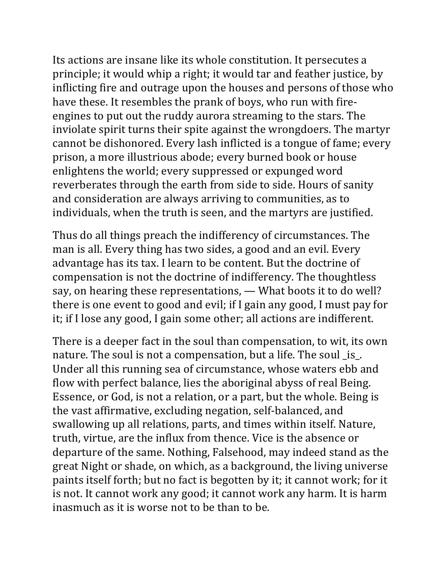Its actions are insane like its whole constitution. It persecutes a principle; it would whip a right; it would tar and feather justice, by inflicting fire and outrage upon the houses and persons of those who have these. It resembles the prank of boys, who run with fireengines to put out the ruddy aurora streaming to the stars. The inviolate spirit turns their spite against the wrongdoers. The martyr cannot be dishonored. Every lash inflicted is a tongue of fame; every prison, a more illustrious abode; every burned book or house enlightens the world; every suppressed or expunged word reverberates through the earth from side to side. Hours of sanity and consideration are always arriving to communities, as to individuals, when the truth is seen, and the martyrs are justified.

Thus do all things preach the indifferency of circumstances. The man is all. Every thing has two sides, a good and an evil. Every advantage has its tax. I learn to be content. But the doctrine of compensation is not the doctrine of indifferency. The thoughtless say, on hearing these representations, - What boots it to do well? there is one event to good and evil; if I gain any good, I must pay for it; if I lose any good, I gain some other; all actions are indifferent.

There is a deeper fact in the soul than compensation, to wit, its own nature. The soul is not a compensation, but a life. The soul \_is\_. Under all this running sea of circumstance, whose waters ebb and flow with perfect balance, lies the aboriginal abyss of real Being. Essence, or God, is not a relation, or a part, but the whole. Being is the vast affirmative, excluding negation, self-balanced, and swallowing up all relations, parts, and times within itself. Nature, truth, virtue, are the influx from thence. Vice is the absence or departure of the same. Nothing, Falsehood, may indeed stand as the great Night or shade, on which, as a background, the living universe paints itself forth; but no fact is begotten by it; it cannot work; for it is not. It cannot work any good; it cannot work any harm. It is harm inasmuch as it is worse not to be than to be.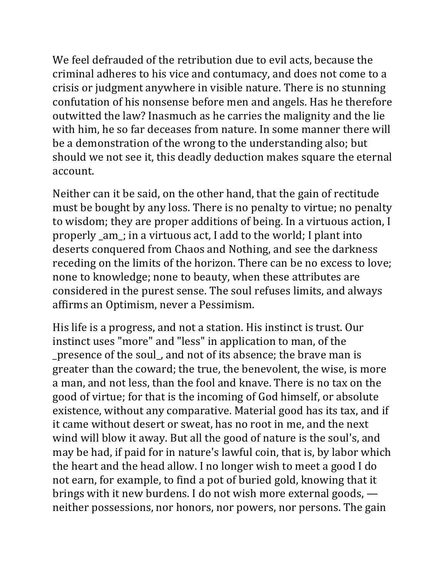We feel defrauded of the retribution due to evil acts, because the criminal adheres to his vice and contumacy, and does not come to a crisis or judgment anywhere in visible nature. There is no stunning confutation of his nonsense before men and angels. Has he therefore outwitted the law? Inasmuch as he carries the malignity and the lie with him, he so far deceases from nature. In some manner there will be a demonstration of the wrong to the understanding also; but should we not see it, this deadly deduction makes square the eternal account. 

Neither can it be said, on the other hand, that the gain of rectitude must be bought by any loss. There is no penalty to virtue; no penalty to wisdom; they are proper additions of being. In a virtuous action, I properly \_am\_; in a virtuous act, I add to the world; I plant into deserts conquered from Chaos and Nothing, and see the darkness receding on the limits of the horizon. There can be no excess to love; none to knowledge; none to beauty, when these attributes are considered in the purest sense. The soul refuses limits, and always affirms an Optimism, never a Pessimism.

His life is a progress, and not a station. His instinct is trust. Our instinct uses "more" and "less" in application to man, of the \_presence of the soul\_, and not of its absence; the brave man is greater than the coward; the true, the benevolent, the wise, is more a man, and not less, than the fool and knave. There is no tax on the good of virtue; for that is the incoming of God himself, or absolute existence, without any comparative. Material good has its tax, and if it came without desert or sweat, has no root in me, and the next wind will blow it away. But all the good of nature is the soul's, and may be had, if paid for in nature's lawful coin, that is, by labor which the heart and the head allow. I no longer wish to meet a good I do not earn, for example, to find a pot of buried gold, knowing that it brings with it new burdens. I do not wish more external goods,  $\rightarrow$ neither possessions, nor honors, nor powers, nor persons. The gain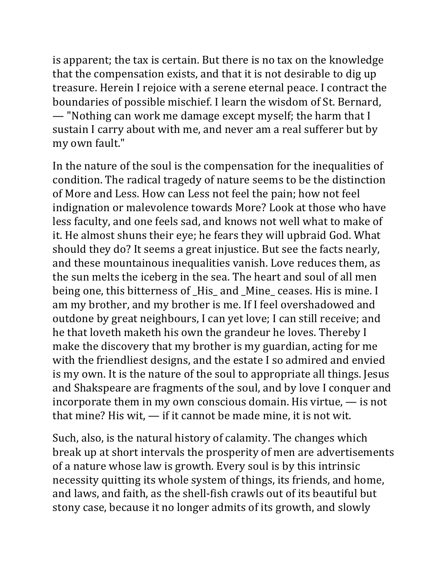is apparent; the tax is certain. But there is no tax on the knowledge that the compensation exists, and that it is not desirable to dig up treasure. Herein I rejoice with a serene eternal peace. I contract the boundaries of possible mischief. I learn the wisdom of St. Bernard, — "Nothing can work me damage except myself; the harm that I sustain I carry about with me, and never am a real sufferer but by my own fault."

In the nature of the soul is the compensation for the inequalities of condition. The radical tragedy of nature seems to be the distinction of More and Less. How can Less not feel the pain; how not feel indignation or malevolence towards More? Look at those who have less faculty, and one feels sad, and knows not well what to make of it. He almost shuns their eye; he fears they will upbraid God. What should they do? It seems a great injustice. But see the facts nearly, and these mountainous inequalities vanish. Love reduces them, as the sun melts the iceberg in the sea. The heart and soul of all men being one, this bitterness of \_His\_ and \_Mine\_ ceases. His is mine. I am my brother, and my brother is me. If I feel overshadowed and outdone by great neighbours, I can yet love; I can still receive; and he that loveth maketh his own the grandeur he loves. Thereby I make the discovery that my brother is my guardian, acting for me with the friendliest designs, and the estate I so admired and envied is my own. It is the nature of the soul to appropriate all things. Jesus and Shakspeare are fragments of the soul, and by love I conquer and incorporate them in my own conscious domain. His virtue,  $\frac{1}{\sqrt{1-\frac{1}{\sqrt{1-\frac{1}{\sqrt{1-\frac{1}{\sqrt{1-\frac{1}{\sqrt{1-\frac{1}{\sqrt{1-\frac{1}{\sqrt{1-\frac{1}{\sqrt{1-\frac{1}{\sqrt{1-\frac{1}{\sqrt{1-\frac{1}{\sqrt{1-\frac{1}{\sqrt{1-\frac{1}{\sqrt{1-\frac{1}{\sqrt{1-\frac{1}{\sqrt{1-\frac{1}{\sqrt{1-\frac{1}{\sqrt{1-\frac{1}{\sqrt{1-\$ that mine? His wit,  $-$  if it cannot be made mine, it is not wit.

Such, also, is the natural history of calamity. The changes which break up at short intervals the prosperity of men are advertisements of a nature whose law is growth. Every soul is by this intrinsic necessity quitting its whole system of things, its friends, and home, and laws, and faith, as the shell-fish crawls out of its beautiful but stony case, because it no longer admits of its growth, and slowly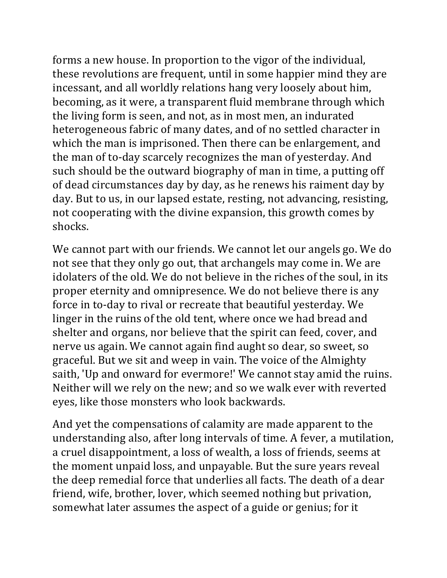forms a new house. In proportion to the vigor of the individual, these revolutions are frequent, until in some happier mind they are incessant, and all worldly relations hang very loosely about him, becoming, as it were, a transparent fluid membrane through which the living form is seen, and not, as in most men, an indurated heterogeneous fabric of many dates, and of no settled character in which the man is imprisoned. Then there can be enlargement, and the man of to-day scarcely recognizes the man of yesterday. And such should be the outward biography of man in time, a putting off of dead circumstances day by day, as he renews his raiment day by day. But to us, in our lapsed estate, resting, not advancing, resisting, not cooperating with the divine expansion, this growth comes by shocks. 

We cannot part with our friends. We cannot let our angels go. We do not see that they only go out, that archangels may come in. We are idolaters of the old. We do not believe in the riches of the soul, in its proper eternity and omnipresence. We do not believe there is any force in to-day to rival or recreate that beautiful yesterday. We linger in the ruins of the old tent, where once we had bread and shelter and organs, nor believe that the spirit can feed, cover, and nerve us again. We cannot again find aught so dear, so sweet, so graceful. But we sit and weep in vain. The voice of the Almighty saith, 'Up and onward for evermore!' We cannot stay amid the ruins. Neither will we rely on the new; and so we walk ever with reverted eyes, like those monsters who look backwards.

And yet the compensations of calamity are made apparent to the understanding also, after long intervals of time. A fever, a mutilation, a cruel disappointment, a loss of wealth, a loss of friends, seems at the moment unpaid loss, and unpayable. But the sure years reveal the deep remedial force that underlies all facts. The death of a dear friend, wife, brother, lover, which seemed nothing but privation, somewhat later assumes the aspect of a guide or genius; for it